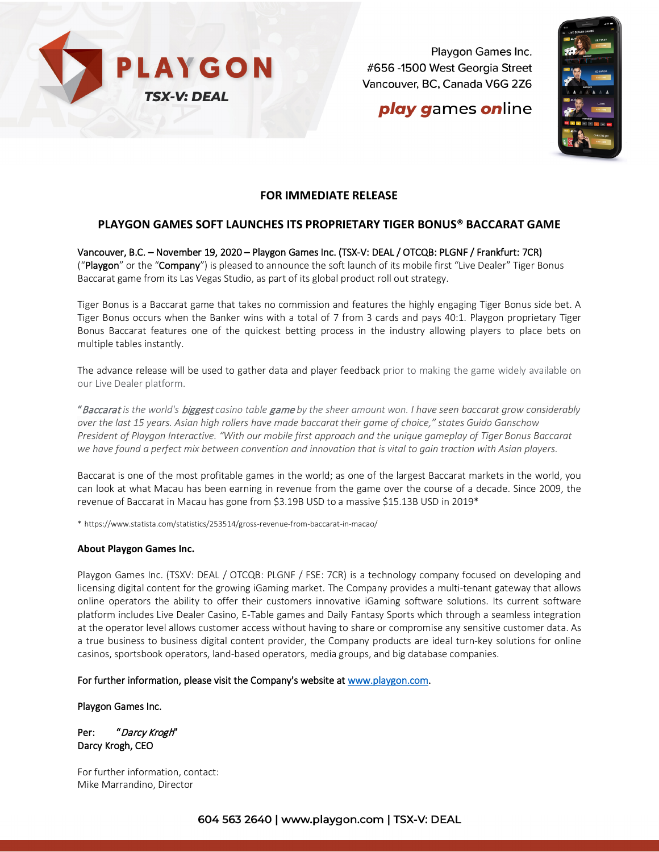

Playgon Games Inc. #656 -1500 West Georgia Street Vancouver, BC, Canada V6G 2Z6

# **play games online**



#### **FOR IMMEDIATE RELEASE**

### **PLAYGON GAMES SOFT LAUNCHES ITS PROPRIETARY TIGER BONUS® BACCARAT GAME**

Vancouver, B.C. – November 19, 2020 – Playgon Games Inc. (TSX-V: DEAL / OTCQB: PLGNF / Frankfurt: 7CR) ("Playgon" or the "Company") is pleased to announce the soft launch of its mobile first "Live Dealer" Tiger Bonus Baccarat game from its Las Vegas Studio, as part of its global product roll out strategy.

Tiger Bonus is a Baccarat game that takes no commission and features the highly engaging Tiger Bonus side bet. A Tiger Bonus occurs when the Banker wins with a total of 7 from 3 cards and pays 40:1. Playgon proprietary Tiger Bonus Baccarat features one of the quickest betting process in the industry allowing players to place bets on multiple tables instantly.

The advance release will be used to gather data and player feedback prior to making the game widely available on our Live Dealer platform.

"Baccarat *is the world's* biggest *casino table* game *by the sheer amount won. I have seen baccarat grow considerably over the last 15 years. Asian high rollers have made baccarat their game of choice," states Guido Ganschow President of Playgon Interactive. "With our mobile first approach and the unique gameplay of Tiger Bonus Baccarat we have found a perfect mix between convention and innovation that is vital to gain traction with Asian players.*

Baccarat is one of the most profitable games in the world; as one of the largest Baccarat markets in the world, you can look at what Macau has been earning in revenue from the game over the course of a decade. Since 2009, the revenue of Baccarat in Macau has gone from \$3.19B USD to a massive \$15.13B USD in 2019\*

\* https://www.statista.com/statistics/253514/gross-revenue-from-baccarat-in-macao/

#### **About Playgon Games Inc.**

Playgon Games Inc. (TSXV: DEAL / OTCQB: PLGNF / FSE: 7CR) is a technology company focused on developing and licensing digital content for the growing iGaming market. The Company provides a multi-tenant gateway that allows online operators the ability to offer their customers innovative iGaming software solutions. Its current software platform includes Live Dealer Casino, E-Table games and Daily Fantasy Sports which through a seamless integration at the operator level allows customer access without having to share or compromise any sensitive customer data. As a true business to business digital content provider, the Company products are ideal turn-key solutions for online casinos, sportsbook operators, land-based operators, media groups, and big database companies.

For further information, please visit the Company's website at [www.playgon.com.](http://www.playgon.com/)

Playgon Games Inc.

Per: "Darcy Krogh" Darcy Krogh, CEO

For further information, contact: Mike Marrandino, Director